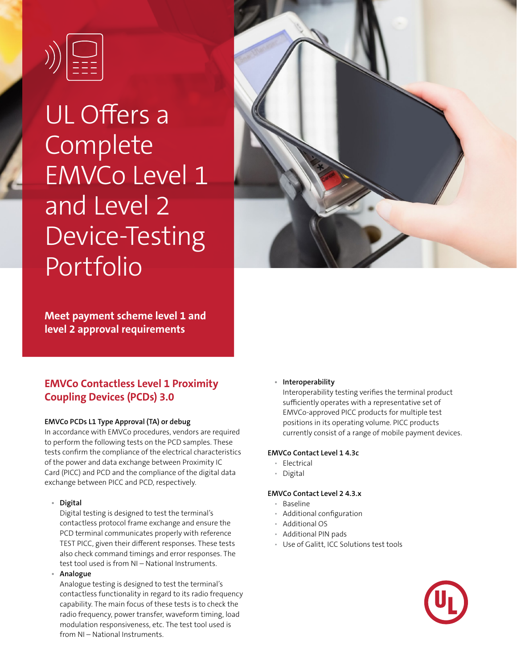

# UL Offers a Complete EMVCo Level 1 and Level 2 Device-Testing Portfolio



**Meet payment scheme level 1 and level 2 approval requirements** 

# **EMVCo Contactless Level 1 Proximity Coupling Devices (PCDs) 3.0**

# **EMVCo PCDs L1 Type Approval (TA) or debug**

In accordance with EMVCo procedures, vendors are required to perform the following tests on the PCD samples. These tests confirm the compliance of the electrical characteristics of the power and data exchange between Proximity IC Card (PICC) and PCD and the compliance of the digital data exchange between PICC and PCD, respectively.

# **• Digital**

Digital testing is designed to test the terminal's contactless protocol frame exchange and ensure the PCD terminal communicates properly with reference TEST PICC, given their different responses. These tests also check command timings and error responses. The test tool used is from NI – National Instruments.

### **• Analogue**

Analogue testing is designed to test the terminal's contactless functionality in regard to its radio frequency capability. The main focus of these tests is to check the radio frequency, power transfer, waveform timing, load modulation responsiveness, etc. The test tool used is from NI – National Instruments.

### **• Interoperability**

Interoperability testing verifies the terminal product sufficiently operates with a representative set of EMVCo-approved PICC products for multiple test positions in its operating volume. PICC products currently consist of a range of mobile payment devices.

### **EMVCo Contact Level 1 4.3c**

- Electrical
- Digital

# **EMVCo Contact Level 2 4.3.x**

- Baseline
- Additional configuration
- Additional OS
- Additional PIN pads
- Use of Galitt, ICC Solutions test tools